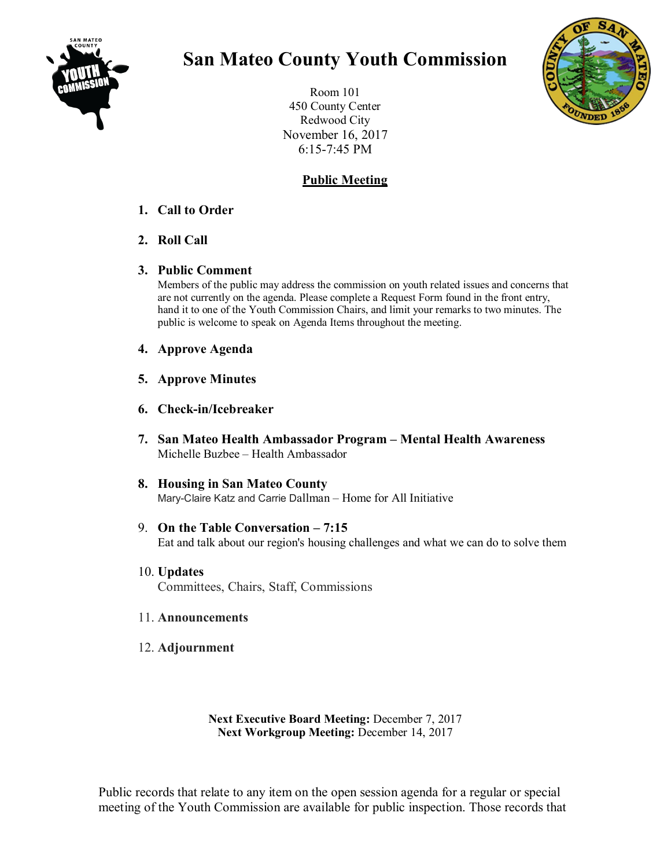

## **San Mateo County Youth Commission**

Room 101 450 County Center Redwood City November 16, 2017 6:15-7:45 PM

## **Public Meeting**

## **1. Call to Order**

- **2. Roll Call**
- **3. Public Comment**

Members of the public may address the commission on youth related issues and concerns that are not currently on the agenda. Please complete a Request Form found in the front entry, hand it to one of the Youth Commission Chairs, and limit your remarks to two minutes. The public is welcome to speak on Agenda Items throughout the meeting.

- **4. Approve Agenda**
- **5. Approve Minutes**
- **6. Check-in/Icebreaker**
- **7. San Mateo Health Ambassador Program – Mental Health Awareness** Michelle Buzbee – Health Ambassador
- **8. Housing in San Mateo County** Mary-Claire Katz and Carrie Dallman – Home for All Initiative
- 9. **On the Table Conversation – 7:15** Eat and talk about our region's housing challenges and what we can do to solve them
- 10. **Updates** Committees, Chairs, Staff, Commissions
- 11. **Announcements**
- 12. **Adjournment**

**Next Executive Board Meeting:** December 7, 2017 **Next Workgroup Meeting:** December 14, 2017

Public records that relate to any item on the open session agenda for a regular or special meeting of the Youth Commission are available for public inspection. Those records that